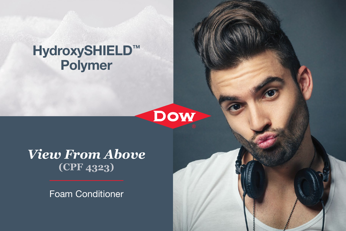# HydroxySHIELD™ Polymer



*View From Above* **(CPF 4323)**

Foam Conditioner